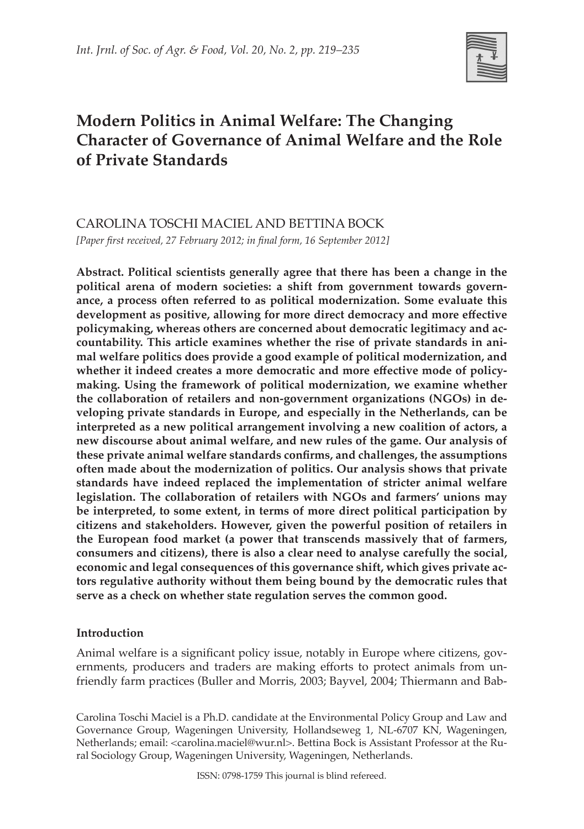

# **Modern Politics in Animal Welfare: The Changing Character of Governance of Animal Welfare and the Role of Private Standards**

CAROLINA TOSCHI MACIEL AND BETTINA BOCK *[Paper first received, 27 February 2012; in final form, 16 September 2012]*

**Abstract. Political scientists generally agree that there has been a change in the political arena of modern societies: a shift from government towards governance, a process often referred to as political modernization. Some evaluate this development as positive, allowing for more direct democracy and more effective policymaking, whereas others are concerned about democratic legitimacy and accountability. This article examines whether the rise of private standards in animal welfare politics does provide a good example of political modernization, and whether it indeed creates a more democratic and more effective mode of policymaking. Using the framework of political modernization, we examine whether the collaboration of retailers and non-government organizations (NGOs) in developing private standards in Europe, and especially in the Netherlands, can be interpreted as a new political arrangement involving a new coalition of actors, a new discourse about animal welfare, and new rules of the game. Our analysis of these private animal welfare standards confirms, and challenges, the assumptions often made about the modernization of politics. Our analysis shows that private standards have indeed replaced the implementation of stricter animal welfare legislation. The collaboration of retailers with NGOs and farmers' unions may be interpreted, to some extent, in terms of more direct political participation by citizens and stakeholders. However, given the powerful position of retailers in the European food market (a power that transcends massively that of farmers, consumers and citizens), there is also a clear need to analyse carefully the social, economic and legal consequences of this governance shift, which gives private actors regulative authority without them being bound by the democratic rules that serve as a check on whether state regulation serves the common good.**

## **Introduction**

Animal welfare is a significant policy issue, notably in Europe where citizens, governments, producers and traders are making efforts to protect animals from unfriendly farm practices (Buller and Morris, 2003; Bayvel, 2004; Thiermann and Bab-

Carolina Toschi Maciel is a Ph.D. candidate at the Environmental Policy Group and Law and Governance Group, Wageningen University, Hollandseweg 1, NL-6707 KN, Wageningen, Netherlands; email: <carolina.maciel@wur.nl>. Bettina Bock is Assistant Professor at the Rural Sociology Group, Wageningen University, Wageningen, Netherlands.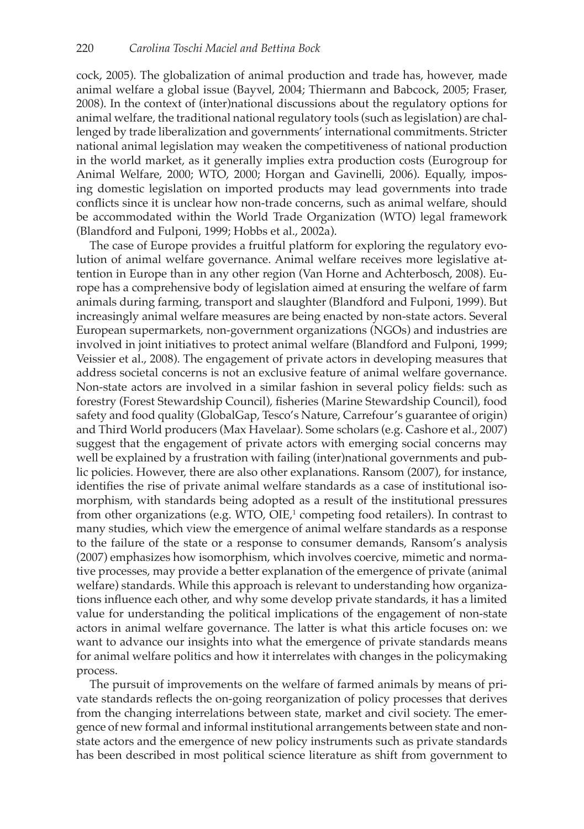cock, 2005). The globalization of animal production and trade has, however, made animal welfare a global issue (Bayvel, 2004; Thiermann and Babcock, 2005; Fraser, 2008). In the context of (inter)national discussions about the regulatory options for animal welfare, the traditional national regulatory tools (such as legislation) are challenged by trade liberalization and governments' international commitments. Stricter national animal legislation may weaken the competitiveness of national production in the world market, as it generally implies extra production costs (Eurogroup for Animal Welfare, 2000; WTO, 2000; Horgan and Gavinelli, 2006). Equally, imposing domestic legislation on imported products may lead governments into trade conflicts since it is unclear how non-trade concerns, such as animal welfare, should be accommodated within the World Trade Organization (WTO) legal framework (Blandford and Fulponi, 1999; Hobbs et al., 2002a).

The case of Europe provides a fruitful platform for exploring the regulatory evolution of animal welfare governance. Animal welfare receives more legislative attention in Europe than in any other region (Van Horne and Achterbosch, 2008). Europe has a comprehensive body of legislation aimed at ensuring the welfare of farm animals during farming, transport and slaughter (Blandford and Fulponi, 1999). But increasingly animal welfare measures are being enacted by non-state actors. Several European supermarkets, non-government organizations (NGOs) and industries are involved in joint initiatives to protect animal welfare (Blandford and Fulponi, 1999; Veissier et al., 2008). The engagement of private actors in developing measures that address societal concerns is not an exclusive feature of animal welfare governance. Non-state actors are involved in a similar fashion in several policy fields: such as forestry (Forest Stewardship Council), fisheries (Marine Stewardship Council), food safety and food quality (GlobalGap, Tesco's Nature, Carrefour's guarantee of origin) and Third World producers (Max Havelaar). Some scholars (e.g. Cashore et al., 2007) suggest that the engagement of private actors with emerging social concerns may well be explained by a frustration with failing (inter)national governments and public policies. However, there are also other explanations. Ransom (2007), for instance, identifies the rise of private animal welfare standards as a case of institutional isomorphism, with standards being adopted as a result of the institutional pressures from other organizations (e.g. WTO, OIE, $^1$  competing food retailers). In contrast to many studies, which view the emergence of animal welfare standards as a response to the failure of the state or a response to consumer demands, Ransom's analysis (2007) emphasizes how isomorphism, which involves coercive, mimetic and normative processes, may provide a better explanation of the emergence of private (animal welfare) standards. While this approach is relevant to understanding how organizations influence each other, and why some develop private standards, it has a limited value for understanding the political implications of the engagement of non-state actors in animal welfare governance. The latter is what this article focuses on: we want to advance our insights into what the emergence of private standards means for animal welfare politics and how it interrelates with changes in the policymaking process.

The pursuit of improvements on the welfare of farmed animals by means of private standards reflects the on-going reorganization of policy processes that derives from the changing interrelations between state, market and civil society. The emergence of new formal and informal institutional arrangements between state and nonstate actors and the emergence of new policy instruments such as private standards has been described in most political science literature as shift from government to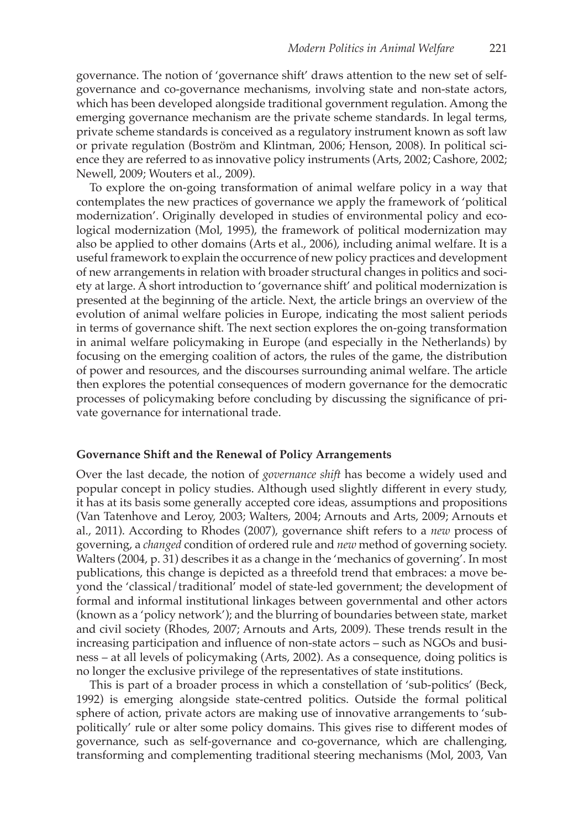governance. The notion of 'governance shift' draws attention to the new set of selfgovernance and co-governance mechanisms, involving state and non-state actors, which has been developed alongside traditional government regulation. Among the emerging governance mechanism are the private scheme standards. In legal terms, private scheme standards is conceived as a regulatory instrument known as soft law or private regulation (Boström and Klintman, 2006; Henson, 2008). In political science they are referred to as innovative policy instruments (Arts, 2002; Cashore, 2002; Newell, 2009; Wouters et al., 2009).

To explore the on-going transformation of animal welfare policy in a way that contemplates the new practices of governance we apply the framework of 'political modernization'. Originally developed in studies of environmental policy and ecological modernization (Mol, 1995), the framework of political modernization may also be applied to other domains (Arts et al., 2006), including animal welfare. It is a useful framework to explain the occurrence of new policy practices and development of new arrangements in relation with broader structural changes in politics and society at large. A short introduction to 'governance shift' and political modernization is presented at the beginning of the article. Next, the article brings an overview of the evolution of animal welfare policies in Europe, indicating the most salient periods in terms of governance shift. The next section explores the on-going transformation in animal welfare policymaking in Europe (and especially in the Netherlands) by focusing on the emerging coalition of actors, the rules of the game, the distribution of power and resources, and the discourses surrounding animal welfare. The article then explores the potential consequences of modern governance for the democratic processes of policymaking before concluding by discussing the significance of private governance for international trade.

#### **Governance Shift and the Renewal of Policy Arrangements**

Over the last decade, the notion of *governance shift* has become a widely used and popular concept in policy studies. Although used slightly different in every study, it has at its basis some generally accepted core ideas, assumptions and propositions (Van Tatenhove and Leroy, 2003; Walters, 2004; Arnouts and Arts, 2009; Arnouts et al., 2011). According to Rhodes (2007), governance shift refers to a *new* process of governing, a *changed* condition of ordered rule and *new* method of governing society. Walters (2004, p. 31) describes it as a change in the 'mechanics of governing'. In most publications, this change is depicted as a threefold trend that embraces: a move beyond the 'classical/traditional' model of state-led government; the development of formal and informal institutional linkages between governmental and other actors (known as a 'policy network'); and the blurring of boundaries between state, market and civil society (Rhodes, 2007; Arnouts and Arts, 2009). These trends result in the increasing participation and influence of non-state actors – such as NGOs and business – at all levels of policymaking (Arts, 2002). As a consequence, doing politics is no longer the exclusive privilege of the representatives of state institutions.

This is part of a broader process in which a constellation of 'sub-politics' (Beck, 1992) is emerging alongside state-centred politics. Outside the formal political sphere of action, private actors are making use of innovative arrangements to 'subpolitically' rule or alter some policy domains. This gives rise to different modes of governance, such as self-governance and co-governance, which are challenging, transforming and complementing traditional steering mechanisms (Mol, 2003, Van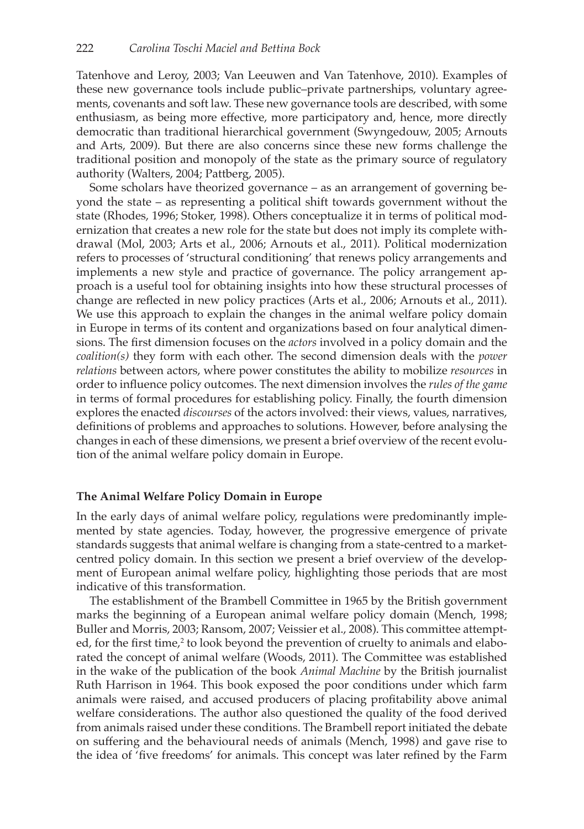Tatenhove and Leroy, 2003; Van Leeuwen and Van Tatenhove, 2010). Examples of these new governance tools include public–private partnerships, voluntary agreements, covenants and soft law. These new governance tools are described, with some enthusiasm, as being more effective, more participatory and, hence, more directly democratic than traditional hierarchical government (Swyngedouw, 2005; Arnouts and Arts, 2009). But there are also concerns since these new forms challenge the traditional position and monopoly of the state as the primary source of regulatory authority (Walters, 2004; Pattberg, 2005).

Some scholars have theorized governance – as an arrangement of governing beyond the state – as representing a political shift towards government without the state (Rhodes, 1996; Stoker, 1998). Others conceptualize it in terms of political modernization that creates a new role for the state but does not imply its complete withdrawal (Mol, 2003; Arts et al., 2006; Arnouts et al., 2011). Political modernization refers to processes of 'structural conditioning' that renews policy arrangements and implements a new style and practice of governance. The policy arrangement approach is a useful tool for obtaining insights into how these structural processes of change are reflected in new policy practices (Arts et al., 2006; Arnouts et al., 2011). We use this approach to explain the changes in the animal welfare policy domain in Europe in terms of its content and organizations based on four analytical dimensions. The first dimension focuses on the *actors* involved in a policy domain and the *coalition(s)* they form with each other. The second dimension deals with the *power relations* between actors, where power constitutes the ability to mobilize *resources* in order to influence policy outcomes. The next dimension involves the *rules of the game* in terms of formal procedures for establishing policy. Finally, the fourth dimension explores the enacted *discourses* of the actors involved: their views, values, narratives, definitions of problems and approaches to solutions. However, before analysing the changes in each of these dimensions, we present a brief overview of the recent evolution of the animal welfare policy domain in Europe.

### **The Animal Welfare Policy Domain in Europe**

In the early days of animal welfare policy, regulations were predominantly implemented by state agencies. Today, however, the progressive emergence of private standards suggests that animal welfare is changing from a state-centred to a marketcentred policy domain. In this section we present a brief overview of the development of European animal welfare policy, highlighting those periods that are most indicative of this transformation.

The establishment of the Brambell Committee in 1965 by the British government marks the beginning of a European animal welfare policy domain (Mench, 1998; Buller and Morris, 2003; Ransom, 2007; Veissier et al., 2008). This committee attempted, for the first time,<sup>2</sup> to look beyond the prevention of cruelty to animals and elaborated the concept of animal welfare (Woods, 2011). The Committee was established in the wake of the publication of the book *Animal Machine* by the British journalist Ruth Harrison in 1964. This book exposed the poor conditions under which farm animals were raised, and accused producers of placing profitability above animal welfare considerations. The author also questioned the quality of the food derived from animals raised under these conditions. The Brambell report initiated the debate on suffering and the behavioural needs of animals (Mench, 1998) and gave rise to the idea of 'five freedoms' for animals. This concept was later refined by the Farm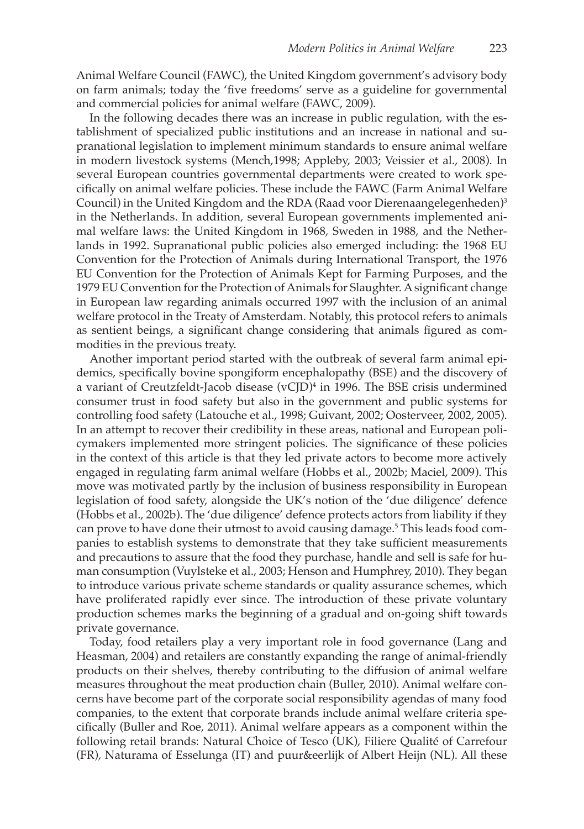Animal Welfare Council (FAWC), the United Kingdom government's advisory body on farm animals; today the 'five freedoms' serve as a guideline for governmental and commercial policies for animal welfare (FAWC, 2009).

In the following decades there was an increase in public regulation, with the establishment of specialized public institutions and an increase in national and supranational legislation to implement minimum standards to ensure animal welfare in modern livestock systems (Mench,1998; Appleby, 2003; Veissier et al., 2008). In several European countries governmental departments were created to work specifically on animal welfare policies. These include the FAWC (Farm Animal Welfare Council) in the United Kingdom and the RDA (Raad voor Dierenaangelegenheden)<sup>3</sup> in the Netherlands. In addition, several European governments implemented animal welfare laws: the United Kingdom in 1968, Sweden in 1988, and the Netherlands in 1992. Supranational public policies also emerged including: the 1968 EU Convention for the Protection of Animals during International Transport, the 1976 EU Convention for the Protection of Animals Kept for Farming Purposes, and the 1979 EU Convention for the Protection of Animals for Slaughter. A significant change in European law regarding animals occurred 1997 with the inclusion of an animal welfare protocol in the Treaty of Amsterdam. Notably, this protocol refers to animals as sentient beings, a significant change considering that animals figured as commodities in the previous treaty.

Another important period started with the outbreak of several farm animal epidemics, specifically bovine spongiform encephalopathy (BSE) and the discovery of a variant of Creutzfeldt-Jacob disease (vCJD)4 in 1996. The BSE crisis undermined consumer trust in food safety but also in the government and public systems for controlling food safety (Latouche et al., 1998; Guivant, 2002; Oosterveer, 2002, 2005). In an attempt to recover their credibility in these areas, national and European policymakers implemented more stringent policies. The significance of these policies in the context of this article is that they led private actors to become more actively engaged in regulating farm animal welfare (Hobbs et al., 2002b; Maciel, 2009). This move was motivated partly by the inclusion of business responsibility in European legislation of food safety, alongside the UK's notion of the 'due diligence' defence (Hobbs et al., 2002b). The 'due diligence' defence protects actors from liability if they can prove to have done their utmost to avoid causing damage.<sup>5</sup> This leads food companies to establish systems to demonstrate that they take sufficient measurements and precautions to assure that the food they purchase, handle and sell is safe for human consumption (Vuylsteke et al., 2003; Henson and Humphrey, 2010). They began to introduce various private scheme standards or quality assurance schemes, which have proliferated rapidly ever since. The introduction of these private voluntary production schemes marks the beginning of a gradual and on-going shift towards private governance.

Today, food retailers play a very important role in food governance (Lang and Heasman, 2004) and retailers are constantly expanding the range of animal-friendly products on their shelves, thereby contributing to the diffusion of animal welfare measures throughout the meat production chain (Buller, 2010). Animal welfare concerns have become part of the corporate social responsibility agendas of many food companies, to the extent that corporate brands include animal welfare criteria specifically (Buller and Roe, 2011). Animal welfare appears as a component within the following retail brands: Natural Choice of Tesco (UK), Filiere Qualité of Carrefour (FR), Naturama of Esselunga (IT) and puur&eerlijk of Albert Heijn (NL). All these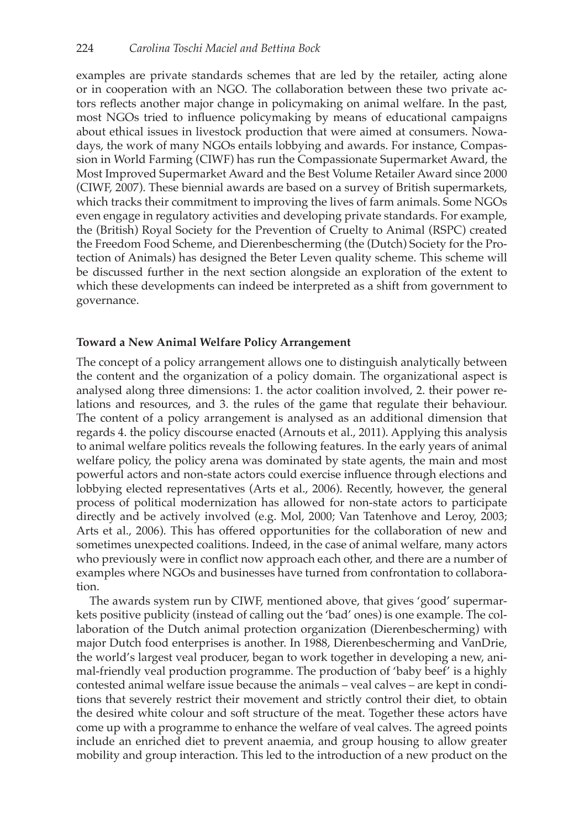examples are private standards schemes that are led by the retailer, acting alone or in cooperation with an NGO. The collaboration between these two private actors reflects another major change in policymaking on animal welfare. In the past, most NGOs tried to influence policymaking by means of educational campaigns about ethical issues in livestock production that were aimed at consumers. Nowadays, the work of many NGOs entails lobbying and awards. For instance, Compassion in World Farming (CIWF) has run the Compassionate Supermarket Award, the Most Improved Supermarket Award and the Best Volume Retailer Award since 2000 (CIWF, 2007). These biennial awards are based on a survey of British supermarkets, which tracks their commitment to improving the lives of farm animals. Some NGOs even engage in regulatory activities and developing private standards. For example, the (British) Royal Society for the Prevention of Cruelty to Animal (RSPC) created the Freedom Food Scheme, and Dierenbescherming (the (Dutch) Society for the Protection of Animals) has designed the Beter Leven quality scheme. This scheme will be discussed further in the next section alongside an exploration of the extent to which these developments can indeed be interpreted as a shift from government to governance.

## **Toward a New Animal Welfare Policy Arrangement**

The concept of a policy arrangement allows one to distinguish analytically between the content and the organization of a policy domain. The organizational aspect is analysed along three dimensions: 1. the actor coalition involved, 2. their power relations and resources, and 3. the rules of the game that regulate their behaviour. The content of a policy arrangement is analysed as an additional dimension that regards 4. the policy discourse enacted (Arnouts et al., 2011). Applying this analysis to animal welfare politics reveals the following features. In the early years of animal welfare policy, the policy arena was dominated by state agents, the main and most powerful actors and non-state actors could exercise influence through elections and lobbying elected representatives (Arts et al., 2006). Recently, however, the general process of political modernization has allowed for non-state actors to participate directly and be actively involved (e.g. Mol, 2000; Van Tatenhove and Leroy, 2003; Arts et al., 2006). This has offered opportunities for the collaboration of new and sometimes unexpected coalitions. Indeed, in the case of animal welfare, many actors who previously were in conflict now approach each other, and there are a number of examples where NGOs and businesses have turned from confrontation to collaboration.

The awards system run by CIWF, mentioned above, that gives 'good' supermarkets positive publicity (instead of calling out the 'bad' ones) is one example. The collaboration of the Dutch animal protection organization (Dierenbescherming) with major Dutch food enterprises is another. In 1988, Dierenbescherming and VanDrie, the world's largest veal producer, began to work together in developing a new, animal-friendly veal production programme. The production of 'baby beef' is a highly contested animal welfare issue because the animals – veal calves – are kept in conditions that severely restrict their movement and strictly control their diet, to obtain the desired white colour and soft structure of the meat. Together these actors have come up with a programme to enhance the welfare of veal calves. The agreed points include an enriched diet to prevent anaemia, and group housing to allow greater mobility and group interaction. This led to the introduction of a new product on the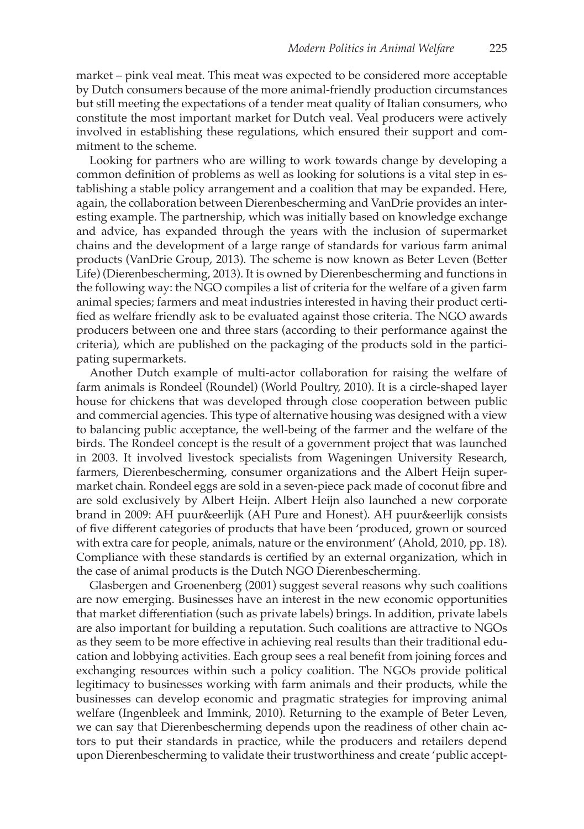market – pink veal meat. This meat was expected to be considered more acceptable by Dutch consumers because of the more animal-friendly production circumstances but still meeting the expectations of a tender meat quality of Italian consumers, who constitute the most important market for Dutch veal. Veal producers were actively involved in establishing these regulations, which ensured their support and commitment to the scheme.

Looking for partners who are willing to work towards change by developing a common definition of problems as well as looking for solutions is a vital step in establishing a stable policy arrangement and a coalition that may be expanded. Here, again, the collaboration between Dierenbescherming and VanDrie provides an interesting example. The partnership, which was initially based on knowledge exchange and advice, has expanded through the years with the inclusion of supermarket chains and the development of a large range of standards for various farm animal products (VanDrie Group, 2013). The scheme is now known as Beter Leven (Better Life) (Dierenbescherming, 2013). It is owned by Dierenbescherming and functions in the following way: the NGO compiles a list of criteria for the welfare of a given farm animal species; farmers and meat industries interested in having their product certified as welfare friendly ask to be evaluated against those criteria. The NGO awards producers between one and three stars (according to their performance against the criteria), which are published on the packaging of the products sold in the participating supermarkets.

Another Dutch example of multi-actor collaboration for raising the welfare of farm animals is Rondeel (Roundel) (World Poultry, 2010). It is a circle-shaped layer house for chickens that was developed through close cooperation between public and commercial agencies. This type of alternative housing was designed with a view to balancing public acceptance, the well-being of the farmer and the welfare of the birds. The Rondeel concept is the result of a government project that was launched in 2003. It involved livestock specialists from Wageningen University Research, farmers, Dierenbescherming, consumer organizations and the Albert Heijn supermarket chain. Rondeel eggs are sold in a seven-piece pack made of coconut fibre and are sold exclusively by Albert Heijn. Albert Heijn also launched a new corporate brand in 2009: AH puur&eerlijk (AH Pure and Honest). AH puur&eerlijk consists of five different categories of products that have been 'produced, grown or sourced with extra care for people, animals, nature or the environment' (Ahold, 2010, pp. 18). Compliance with these standards is certified by an external organization, which in the case of animal products is the Dutch NGO Dierenbescherming.

Glasbergen and Groenenberg (2001) suggest several reasons why such coalitions are now emerging. Businesses have an interest in the new economic opportunities that market differentiation (such as private labels) brings. In addition, private labels are also important for building a reputation. Such coalitions are attractive to NGOs as they seem to be more effective in achieving real results than their traditional education and lobbying activities. Each group sees a real benefit from joining forces and exchanging resources within such a policy coalition. The NGOs provide political legitimacy to businesses working with farm animals and their products, while the businesses can develop economic and pragmatic strategies for improving animal welfare (Ingenbleek and Immink, 2010). Returning to the example of Beter Leven, we can say that Dierenbescherming depends upon the readiness of other chain actors to put their standards in practice, while the producers and retailers depend upon Dierenbescherming to validate their trustworthiness and create 'public accept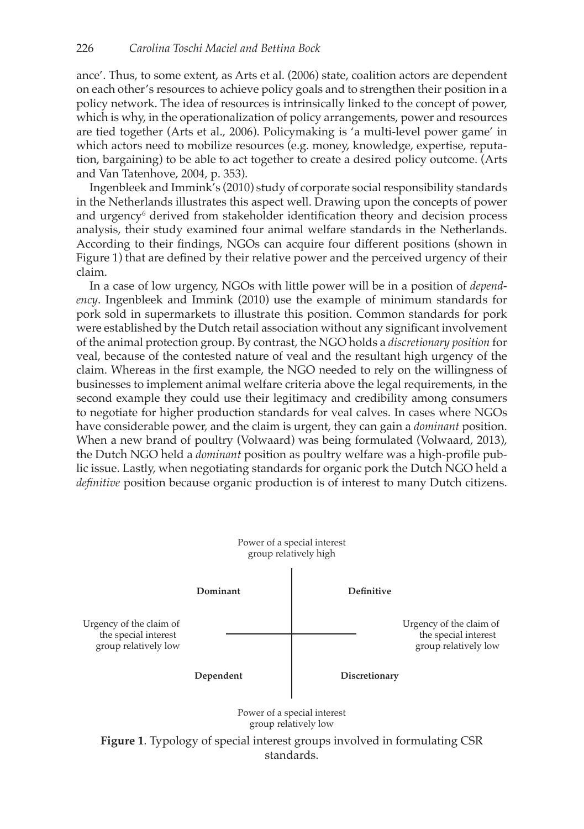ance'. Thus, to some extent, as Arts et al. (2006) state, coalition actors are dependent on each other's resources to achieve policy goals and to strengthen their position in a policy network. The idea of resources is intrinsically linked to the concept of power, which is why, in the operationalization of policy arrangements, power and resources are tied together (Arts et al., 2006). Policymaking is 'a multi-level power game' in which actors need to mobilize resources (e.g. money, knowledge, expertise, reputation, bargaining) to be able to act together to create a desired policy outcome. (Arts and Van Tatenhove, 2004, p. 353).

Ingenbleek and Immink's (2010) study of corporate social responsibility standards in the Netherlands illustrates this aspect well. Drawing upon the concepts of power and urgency<sup>6</sup> derived from stakeholder identification theory and decision process analysis, their study examined four animal welfare standards in the Netherlands. According to their findings, NGOs can acquire four different positions (shown in Figure 1) that are defined by their relative power and the perceived urgency of their claim.

In a case of low urgency, NGOs with little power will be in a position of *dependency*. Ingenbleek and Immink (2010) use the example of minimum standards for pork sold in supermarkets to illustrate this position. Common standards for pork were established by the Dutch retail association without any significant involvement of the animal protection group. By contrast, the NGO holds a *discretionary position* for veal, because of the contested nature of veal and the resultant high urgency of the claim. Whereas in the first example, the NGO needed to rely on the willingness of businesses to implement animal welfare criteria above the legal requirements, in the second example they could use their legitimacy and credibility among consumers to negotiate for higher production standards for veal calves. In cases where NGOs have considerable power, and the claim is urgent, they can gain a *dominant* position. When a new brand of poultry (Volwaard) was being formulated (Volwaard, 2013), the Dutch NGO held a *dominant* position as poultry welfare was a high-profile public issue. Lastly, when negotiating standards for organic pork the Dutch NGO held a *definitive* position because organic production is of interest to many Dutch citizens.

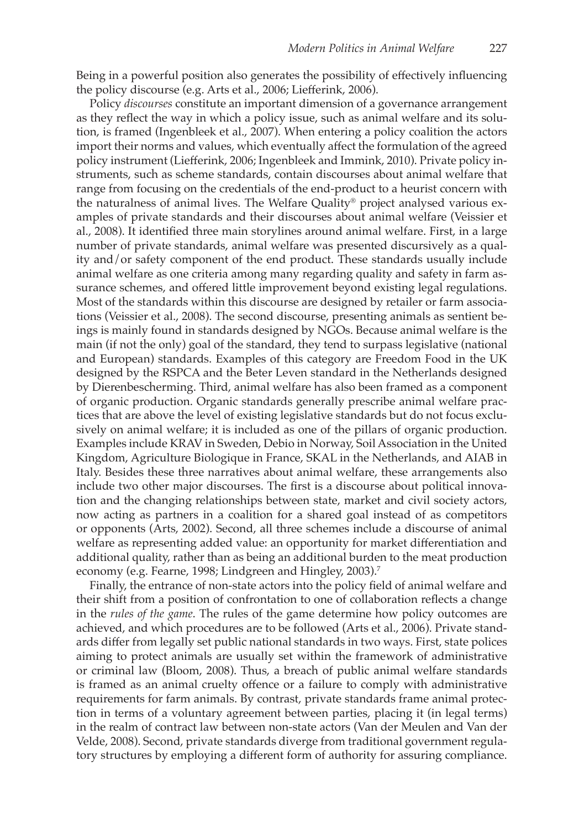Being in a powerful position also generates the possibility of effectively influencing the policy discourse (e.g. Arts et al., 2006; Liefferink, 2006).

Policy *discourses* constitute an important dimension of a governance arrangement as they reflect the way in which a policy issue, such as animal welfare and its solution, is framed (Ingenbleek et al., 2007). When entering a policy coalition the actors import their norms and values, which eventually affect the formulation of the agreed policy instrument (Liefferink, 2006; Ingenbleek and Immink, 2010). Private policy instruments, such as scheme standards, contain discourses about animal welfare that range from focusing on the credentials of the end-product to a heurist concern with the naturalness of animal lives. The Welfare Quality® project analysed various examples of private standards and their discourses about animal welfare (Veissier et al., 2008). It identified three main storylines around animal welfare. First, in a large number of private standards, animal welfare was presented discursively as a quality and/or safety component of the end product. These standards usually include animal welfare as one criteria among many regarding quality and safety in farm assurance schemes, and offered little improvement beyond existing legal regulations. Most of the standards within this discourse are designed by retailer or farm associations (Veissier et al., 2008). The second discourse, presenting animals as sentient beings is mainly found in standards designed by NGOs. Because animal welfare is the main (if not the only) goal of the standard, they tend to surpass legislative (national and European) standards. Examples of this category are Freedom Food in the UK designed by the RSPCA and the Beter Leven standard in the Netherlands designed by Dierenbescherming. Third, animal welfare has also been framed as a component of organic production. Organic standards generally prescribe animal welfare practices that are above the level of existing legislative standards but do not focus exclusively on animal welfare; it is included as one of the pillars of organic production. Examples include KRAV in Sweden, Debio in Norway, Soil Association in the United Kingdom, Agriculture Biologique in France, SKAL in the Netherlands, and AIAB in Italy. Besides these three narratives about animal welfare, these arrangements also include two other major discourses. The first is a discourse about political innovation and the changing relationships between state, market and civil society actors, now acting as partners in a coalition for a shared goal instead of as competitors or opponents (Arts, 2002). Second, all three schemes include a discourse of animal welfare as representing added value: an opportunity for market differentiation and additional quality, rather than as being an additional burden to the meat production economy (e.g. Fearne, 1998; Lindgreen and Hingley, 2003).<sup>7</sup>

Finally, the entrance of non-state actors into the policy field of animal welfare and their shift from a position of confrontation to one of collaboration reflects a change in the *rules of the game*. The rules of the game determine how policy outcomes are achieved, and which procedures are to be followed (Arts et al., 2006). Private standards differ from legally set public national standards in two ways. First, state polices aiming to protect animals are usually set within the framework of administrative or criminal law (Bloom, 2008). Thus, a breach of public animal welfare standards is framed as an animal cruelty offence or a failure to comply with administrative requirements for farm animals. By contrast, private standards frame animal protection in terms of a voluntary agreement between parties, placing it (in legal terms) in the realm of contract law between non-state actors (Van der Meulen and Van der Velde, 2008). Second, private standards diverge from traditional government regulatory structures by employing a different form of authority for assuring compliance.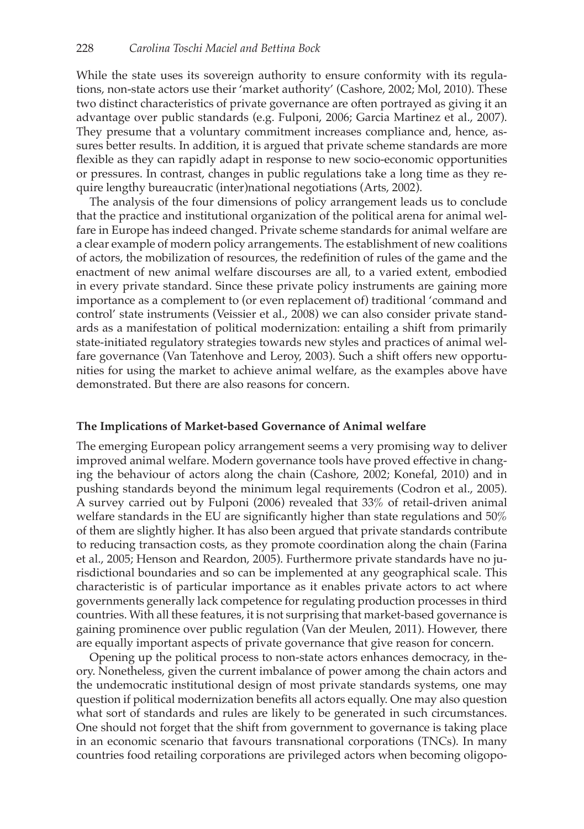While the state uses its sovereign authority to ensure conformity with its regulations, non-state actors use their 'market authority' (Cashore, 2002; Mol, 2010). These two distinct characteristics of private governance are often portrayed as giving it an advantage over public standards (e.g. Fulponi, 2006; Garcia Martinez et al., 2007). They presume that a voluntary commitment increases compliance and, hence, assures better results. In addition, it is argued that private scheme standards are more flexible as they can rapidly adapt in response to new socio-economic opportunities or pressures. In contrast, changes in public regulations take a long time as they require lengthy bureaucratic (inter)national negotiations (Arts, 2002).

The analysis of the four dimensions of policy arrangement leads us to conclude that the practice and institutional organization of the political arena for animal welfare in Europe has indeed changed. Private scheme standards for animal welfare are a clear example of modern policy arrangements. The establishment of new coalitions of actors, the mobilization of resources, the redefinition of rules of the game and the enactment of new animal welfare discourses are all, to a varied extent, embodied in every private standard. Since these private policy instruments are gaining more importance as a complement to (or even replacement of) traditional 'command and control' state instruments (Veissier et al., 2008) we can also consider private standards as a manifestation of political modernization: entailing a shift from primarily state-initiated regulatory strategies towards new styles and practices of animal welfare governance (Van Tatenhove and Leroy, 2003). Such a shift offers new opportunities for using the market to achieve animal welfare, as the examples above have demonstrated. But there are also reasons for concern.

## **The Implications of Market-based Governance of Animal welfare**

The emerging European policy arrangement seems a very promising way to deliver improved animal welfare. Modern governance tools have proved effective in changing the behaviour of actors along the chain (Cashore, 2002; Konefal, 2010) and in pushing standards beyond the minimum legal requirements (Codron et al., 2005). A survey carried out by Fulponi (2006) revealed that 33% of retail-driven animal welfare standards in the EU are significantly higher than state regulations and 50% of them are slightly higher. It has also been argued that private standards contribute to reducing transaction costs, as they promote coordination along the chain (Farina et al., 2005; Henson and Reardon, 2005). Furthermore private standards have no jurisdictional boundaries and so can be implemented at any geographical scale. This characteristic is of particular importance as it enables private actors to act where governments generally lack competence for regulating production processes in third countries. With all these features, it is not surprising that market-based governance is gaining prominence over public regulation (Van der Meulen, 2011). However, there are equally important aspects of private governance that give reason for concern.

Opening up the political process to non-state actors enhances democracy, in theory. Nonetheless, given the current imbalance of power among the chain actors and the undemocratic institutional design of most private standards systems, one may question if political modernization benefits all actors equally. One may also question what sort of standards and rules are likely to be generated in such circumstances. One should not forget that the shift from government to governance is taking place in an economic scenario that favours transnational corporations (TNCs). In many countries food retailing corporations are privileged actors when becoming oligopo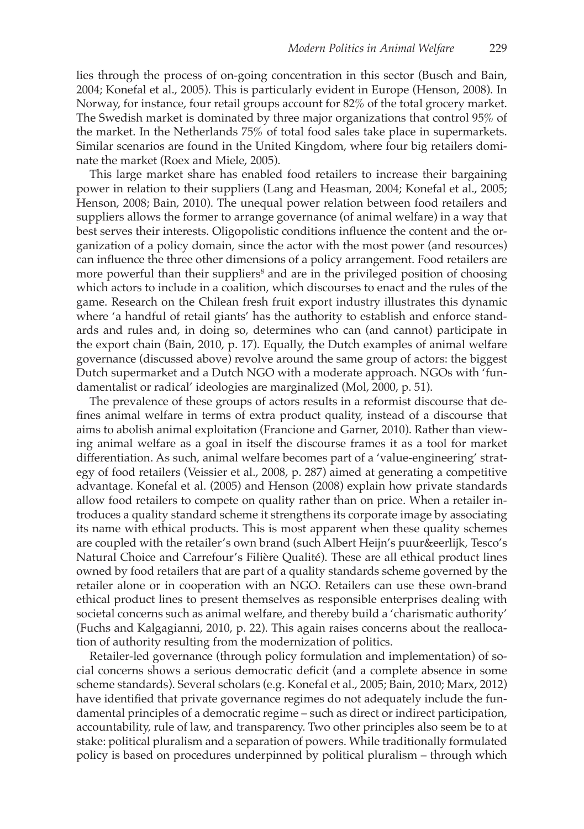lies through the process of on-going concentration in this sector (Busch and Bain, 2004; Konefal et al., 2005). This is particularly evident in Europe (Henson, 2008). In Norway, for instance, four retail groups account for 82% of the total grocery market. The Swedish market is dominated by three major organizations that control 95% of the market. In the Netherlands 75% of total food sales take place in supermarkets. Similar scenarios are found in the United Kingdom, where four big retailers dominate the market (Roex and Miele, 2005).

This large market share has enabled food retailers to increase their bargaining power in relation to their suppliers (Lang and Heasman, 2004; Konefal et al., 2005; Henson, 2008; Bain, 2010). The unequal power relation between food retailers and suppliers allows the former to arrange governance (of animal welfare) in a way that best serves their interests. Oligopolistic conditions influence the content and the organization of a policy domain, since the actor with the most power (and resources) can influence the three other dimensions of a policy arrangement. Food retailers are more powerful than their suppliers<sup>8</sup> and are in the privileged position of choosing which actors to include in a coalition, which discourses to enact and the rules of the game. Research on the Chilean fresh fruit export industry illustrates this dynamic where 'a handful of retail giants' has the authority to establish and enforce standards and rules and, in doing so, determines who can (and cannot) participate in the export chain (Bain, 2010, p. 17). Equally, the Dutch examples of animal welfare governance (discussed above) revolve around the same group of actors: the biggest Dutch supermarket and a Dutch NGO with a moderate approach. NGOs with 'fundamentalist or radical' ideologies are marginalized (Mol, 2000, p. 51).

The prevalence of these groups of actors results in a reformist discourse that defines animal welfare in terms of extra product quality, instead of a discourse that aims to abolish animal exploitation (Francione and Garner, 2010). Rather than viewing animal welfare as a goal in itself the discourse frames it as a tool for market differentiation. As such, animal welfare becomes part of a 'value-engineering' strategy of food retailers (Veissier et al., 2008, p. 287) aimed at generating a competitive advantage. Konefal et al. (2005) and Henson (2008) explain how private standards allow food retailers to compete on quality rather than on price. When a retailer introduces a quality standard scheme it strengthens its corporate image by associating its name with ethical products. This is most apparent when these quality schemes are coupled with the retailer's own brand (such Albert Heijn's puur&eerlijk, Tesco's Natural Choice and Carrefour's Filière Qualité). These are all ethical product lines owned by food retailers that are part of a quality standards scheme governed by the retailer alone or in cooperation with an NGO. Retailers can use these own-brand ethical product lines to present themselves as responsible enterprises dealing with societal concerns such as animal welfare, and thereby build a 'charismatic authority' (Fuchs and Kalgagianni, 2010, p. 22). This again raises concerns about the reallocation of authority resulting from the modernization of politics.

Retailer-led governance (through policy formulation and implementation) of social concerns shows a serious democratic deficit (and a complete absence in some scheme standards). Several scholars (e.g. Konefal et al., 2005; Bain, 2010; Marx, 2012) have identified that private governance regimes do not adequately include the fundamental principles of a democratic regime – such as direct or indirect participation, accountability, rule of law, and transparency. Two other principles also seem be to at stake: political pluralism and a separation of powers. While traditionally formulated policy is based on procedures underpinned by political pluralism – through which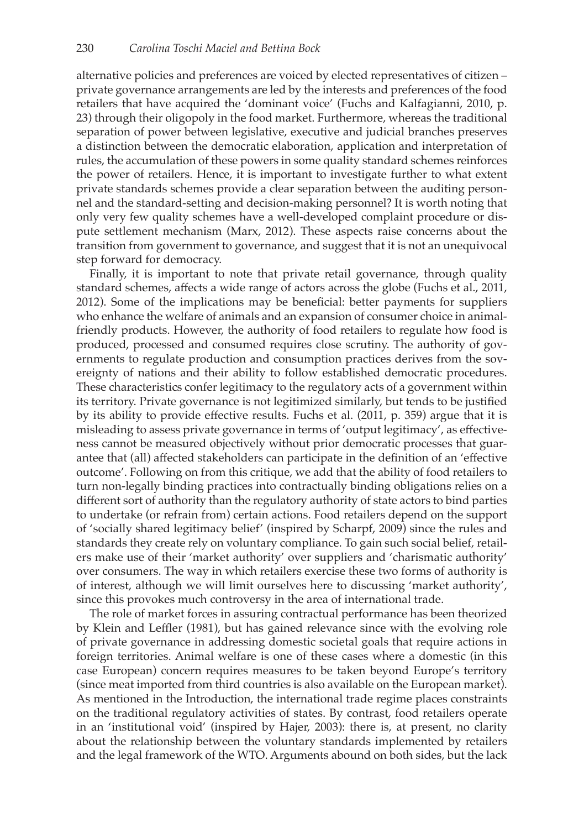alternative policies and preferences are voiced by elected representatives of citizen – private governance arrangements are led by the interests and preferences of the food retailers that have acquired the 'dominant voice' (Fuchs and Kalfagianni, 2010, p. 23) through their oligopoly in the food market. Furthermore, whereas the traditional separation of power between legislative, executive and judicial branches preserves a distinction between the democratic elaboration, application and interpretation of rules, the accumulation of these powers in some quality standard schemes reinforces the power of retailers. Hence, it is important to investigate further to what extent private standards schemes provide a clear separation between the auditing personnel and the standard-setting and decision-making personnel? It is worth noting that only very few quality schemes have a well-developed complaint procedure or dispute settlement mechanism (Marx, 2012). These aspects raise concerns about the transition from government to governance, and suggest that it is not an unequivocal step forward for democracy.

Finally, it is important to note that private retail governance, through quality standard schemes, affects a wide range of actors across the globe (Fuchs et al., 2011, 2012). Some of the implications may be beneficial: better payments for suppliers who enhance the welfare of animals and an expansion of consumer choice in animalfriendly products. However, the authority of food retailers to regulate how food is produced, processed and consumed requires close scrutiny. The authority of governments to regulate production and consumption practices derives from the sovereignty of nations and their ability to follow established democratic procedures. These characteristics confer legitimacy to the regulatory acts of a government within its territory. Private governance is not legitimized similarly, but tends to be justified by its ability to provide effective results. Fuchs et al. (2011, p. 359) argue that it is misleading to assess private governance in terms of 'output legitimacy', as effectiveness cannot be measured objectively without prior democratic processes that guarantee that (all) affected stakeholders can participate in the definition of an 'effective outcome'. Following on from this critique, we add that the ability of food retailers to turn non-legally binding practices into contractually binding obligations relies on a different sort of authority than the regulatory authority of state actors to bind parties to undertake (or refrain from) certain actions. Food retailers depend on the support of 'socially shared legitimacy belief' (inspired by Scharpf, 2009) since the rules and standards they create rely on voluntary compliance. To gain such social belief, retailers make use of their 'market authority' over suppliers and 'charismatic authority' over consumers. The way in which retailers exercise these two forms of authority is of interest, although we will limit ourselves here to discussing 'market authority', since this provokes much controversy in the area of international trade.

The role of market forces in assuring contractual performance has been theorized by Klein and Leffler (1981), but has gained relevance since with the evolving role of private governance in addressing domestic societal goals that require actions in foreign territories. Animal welfare is one of these cases where a domestic (in this case European) concern requires measures to be taken beyond Europe's territory (since meat imported from third countries is also available on the European market). As mentioned in the Introduction, the international trade regime places constraints on the traditional regulatory activities of states. By contrast, food retailers operate in an 'institutional void' (inspired by Hajer, 2003): there is, at present, no clarity about the relationship between the voluntary standards implemented by retailers and the legal framework of the WTO. Arguments abound on both sides, but the lack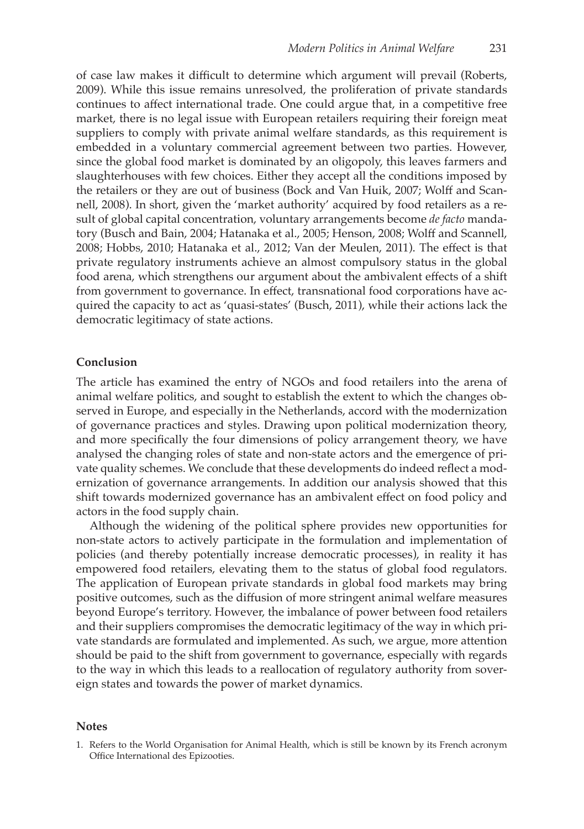of case law makes it difficult to determine which argument will prevail (Roberts, 2009). While this issue remains unresolved, the proliferation of private standards continues to affect international trade. One could argue that, in a competitive free market, there is no legal issue with European retailers requiring their foreign meat suppliers to comply with private animal welfare standards, as this requirement is embedded in a voluntary commercial agreement between two parties. However, since the global food market is dominated by an oligopoly, this leaves farmers and slaughterhouses with few choices. Either they accept all the conditions imposed by the retailers or they are out of business (Bock and Van Huik, 2007; Wolff and Scannell, 2008). In short, given the 'market authority' acquired by food retailers as a result of global capital concentration, voluntary arrangements become *de facto* mandatory (Busch and Bain, 2004; Hatanaka et al., 2005; Henson, 2008; Wolff and Scannell, 2008; Hobbs, 2010; Hatanaka et al., 2012; Van der Meulen, 2011). The effect is that private regulatory instruments achieve an almost compulsory status in the global food arena, which strengthens our argument about the ambivalent effects of a shift from government to governance. In effect, transnational food corporations have acquired the capacity to act as 'quasi-states' (Busch, 2011), while their actions lack the democratic legitimacy of state actions.

### **Conclusion**

The article has examined the entry of NGOs and food retailers into the arena of animal welfare politics, and sought to establish the extent to which the changes observed in Europe, and especially in the Netherlands, accord with the modernization of governance practices and styles. Drawing upon political modernization theory, and more specifically the four dimensions of policy arrangement theory, we have analysed the changing roles of state and non-state actors and the emergence of private quality schemes. We conclude that these developments do indeed reflect a modernization of governance arrangements. In addition our analysis showed that this shift towards modernized governance has an ambivalent effect on food policy and actors in the food supply chain.

Although the widening of the political sphere provides new opportunities for non-state actors to actively participate in the formulation and implementation of policies (and thereby potentially increase democratic processes), in reality it has empowered food retailers, elevating them to the status of global food regulators. The application of European private standards in global food markets may bring positive outcomes, such as the diffusion of more stringent animal welfare measures beyond Europe's territory. However, the imbalance of power between food retailers and their suppliers compromises the democratic legitimacy of the way in which private standards are formulated and implemented. As such, we argue, more attention should be paid to the shift from government to governance, especially with regards to the way in which this leads to a reallocation of regulatory authority from sovereign states and towards the power of market dynamics.

### **Notes**

<sup>1.</sup> Refers to the World Organisation for Animal Health, which is still be known by its French acronym Office International des Epizooties.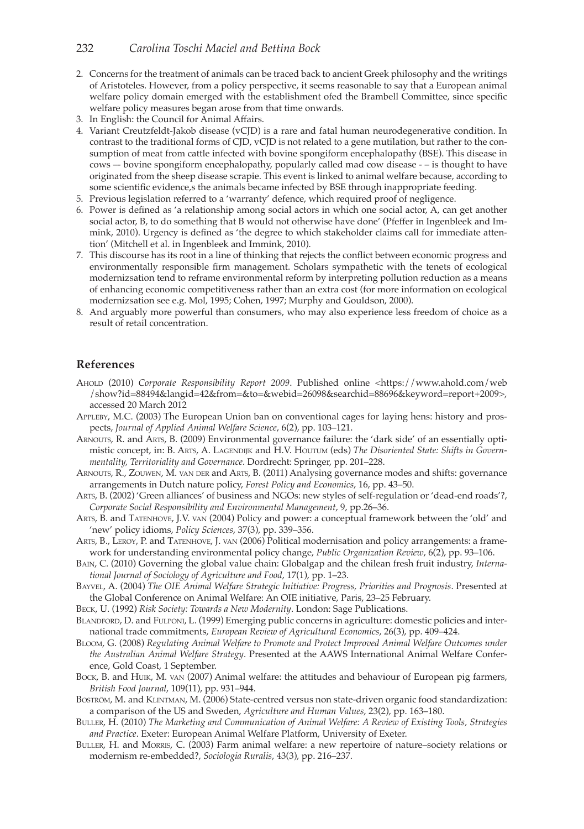## 232 *Carolina Toschi Maciel and Bettina Bock*

- 2. Concerns for the treatment of animals can be traced back to ancient Greek philosophy and the writings of Aristoteles. However, from a policy perspective, it seems reasonable to say that a European animal welfare policy domain emerged with the establishment ofed the Brambell Committee, since specific welfare policy measures began arose from that time onwards.
- 3. In English: the Council for Animal Affairs.
- 4. Variant Creutzfeldt-Jakob disease (vCJD) is a rare and fatal human neurodegenerative condition. In contrast to the traditional forms of CJD, vCJD is not related to a gene mutilation, but rather to the consumption of meat from cattle infected with bovine spongiform encephalopathy (BSE). This disease in cows –- bovine spongiform encephalopathy, popularly called mad cow disease - – is thought to have originated from the sheep disease scrapie. This event is linked to animal welfare because, according to some scientific evidence, s the animals became infected by BSE through inappropriate feeding.
- 5. Previous legislation referred to a 'warranty' defence, which required proof of negligence.
- 6. Power is defined as 'a relationship among social actors in which one social actor, A, can get another social actor, B, to do something that B would not otherwise have done' (Pfeffer in Ingenbleek and Immink, 2010). Urgency is defined as 'the degree to which stakeholder claims call for immediate attention' (Mitchell et al. in Ingenbleek and Immink, 2010).
- 7. This discourse has its root in a line of thinking that rejects the conflict between economic progress and environmentally responsible firm management. Scholars sympathetic with the tenets of ecological modernizsation tend to reframe environmental reform by interpreting pollution reduction as a means of enhancing economic competitiveness rather than an extra cost (for more information on ecological modernizsation see e.g. Mol, 1995; Cohen, 1997; Murphy and Gouldson, 2000).
- 8. And arguably more powerful than consumers, who may also experience less freedom of choice as a result of retail concentration.

#### **References**

- Ahold (2010) *Corporate Responsibility Report 2009*. Published online <https://www.ahold.com/web /show?id=88494&langid=42&from=&to=&webid=26098&searchid=88696&keyword=report+2009>, accessed 20 March 2012
- Appleby, M.C. (2003) The European Union ban on conventional cages for laying hens: history and prospects, *Journal of Applied Animal Welfare Science*, 6(2), pp. 103–121.
- Arnouts, R. and Arts, B. (2009) Environmental governance failure: the 'dark side' of an essentially optimistic concept, in: B. Arts, A. Lagendijk and H.V. Houtum (eds) *The Disoriented State: Shifts in Governmentality, Territoriality and Governance*. Dordrecht: Springer, pp. 201–228.
- Arnouts, R., Zouwen, M. van der and Arts, B. (2011) Analysing governance modes and shifts: governance arrangements in Dutch nature policy, *Forest Policy and Economics*, 16, pp. 43–50.
- Arts, B. (2002) 'Green alliances' of business and NGOs: new styles of self-regulation or 'dead-end roads'?, *Corporate Social Responsibility and Environmental Management*, 9, pp.26–36.
- Arts, B. and Tatenhove, J.V. van (2004) Policy and power: a conceptual framework between the 'old' and 'new' policy idioms, *Policy Sciences*, 37(3), pp. 339–356.
- Arts, B., Leroy, P. and Tatenhove, J. van (2006) Political modernisation and policy arrangements: a framework for understanding environmental policy change, *Public Organization Review*, 6(2), pp. 93–106.
- Bain, C. (2010) Governing the global value chain: Globalgap and the chilean fresh fruit industry, *International Journal of Sociology of Agriculture and Food*, 17(1), pp. 1–23.
- Bayvel, A. (2004) *The OIE Animal Welfare Strategic Initiative: Progress, Priorities and Prognosis*. Presented at the Global Conference on Animal Welfare: An OIE initiative, Paris, 23–25 February.
- Beck, U. (1992) *Risk Society: Towards a New Modernity*. London: Sage Publications.
- BLANDFORD, D. and FULPONI, L. (1999) Emerging public concerns in agriculture: domestic policies and international trade commitments, *European Review of Agricultural Economics*, 26(3), pp. 409–424.
- Bloom, G. (2008) *Regulating Animal Welfare to Promote and Protect Improved Animal Welfare Outcomes under the Australian Animal Welfare Strategy*. Presented at the AAWS International Animal Welfare Conference, Gold Coast, 1 September.
- BOCK, B. and HUIK, M. VAN (2007) Animal welfare: the attitudes and behaviour of European pig farmers, *British Food Journal*, 109(11), pp. 931–944.
- BOSTRÖM, M. and KLINTMAN, M. (2006) State-centred versus non state-driven organic food standardization: a comparison of the US and Sweden, *Agriculture and Human Values*, 23(2), pp. 163–180.
- Buller, H. (2010) *The Marketing and Communication of Animal Welfare: A Review of Existing Tools, Strategies and Practice*. Exeter: European Animal Welfare Platform, University of Exeter.
- Buller, H. and Morris, C. (2003) Farm animal welfare: a new repertoire of nature–society relations or modernism re-embedded?, *Sociologia Ruralis*, 43(3), pp. 216–237.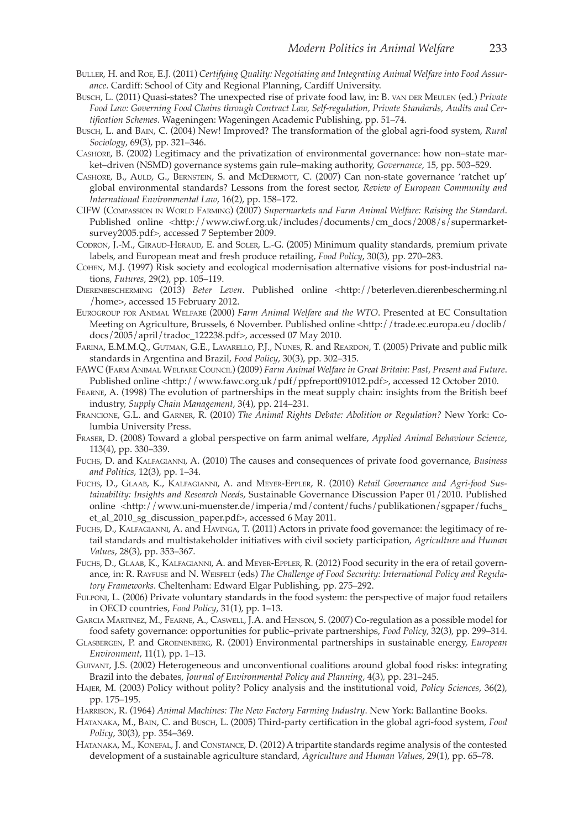- Buller, H. and Roe, E.J. (2011) *Certifying Quality: Negotiating and Integrating Animal Welfare into Food Assurance*. Cardiff: School of City and Regional Planning, Cardiff University.
- Busch, L. (2011) Quasi-states? The unexpected rise of private food law, in: B. van der Meulen (ed.) *Private Food Law: Governing Food Chains through Contract Law, Self-regulation, Private Standards, Audits and Certification Schemes*. Wageningen: Wageningen Academic Publishing, pp. 51–74.
- Busch, L. and Bain, C. (2004) New! Improved? The transformation of the global agri-food system, *Rural Sociology*, 69(3), pp. 321–346.
- Cashore, B. (2002) Legitimacy and the privatization of environmental governance: how non–state market–driven (NSMD) governance systems gain rule–making authority, *Governance*, 15, pp. 503–529.
- CASHORE, B., AULD, G., BERNSTEIN, S. and McDERMOTT, C. (2007) Can non-state governance 'ratchet up' global environmental standards? Lessons from the forest sector, *Review of European Community and International Environmental Law*, 16(2), pp. 158–172.
- CIFW (Compassion in World Farming) (2007) *Supermarkets and Farm Animal Welfare: Raising the Standard*. Published online <http://www.ciwf.org.uk/includes/documents/cm\_docs/2008/s/supermarketsurvey2005.pdf>, accessed 7 September 2009.
- Codron, J.-M., Giraud-Heraud, E. and Soler, L.-G. (2005) Minimum quality standards, premium private labels, and European meat and fresh produce retailing, *Food Policy*, 30(3), pp. 270–283.
- Cohen, M.J. (1997) Risk society and ecological modernisation alternative visions for post-industrial nations, *Futures*, 29(2), pp. 105–119.
- Dierenbescherming (2013) *Beter Leven*. Published online <http://beterleven.dierenbescherming.nl /home>, accessed 15 February 2012.
- Eurogroup for Animal Welfare (2000) *Farm Animal Welfare and the WTO*. Presented at EC Consultation Meeting on Agriculture, Brussels, 6 November. Published online <http://trade.ec.europa.eu/doclib/ docs/2005/april/tradoc\_122238.pdf>, accessed 07 May 2010.
- Farina, E.M.M.Q., Gutman, G.E., Lavarello, P.J., Nunes, R. and Reardon, T. (2005) Private and public milk standards in Argentina and Brazil, *Food Policy*, 30(3), pp. 302–315.
- FAWC (Farm Animal Welfare Council) (2009) *Farm Animal Welfare in Great Britain: Past, Present and Future*. Published online <http://www.fawc.org.uk/pdf/ppfreport091012.pdf>, accessed 12 October 2010.
- Fearne, A. (1998) The evolution of partnerships in the meat supply chain: insights from the British beef industry, *Supply Chain Management*, 3(4), pp. 214–231.
- Francione, G.L. and Garner, R. (2010) *The Animal Rights Debate: Abolition or Regulation?* New York: Columbia University Press.
- Fraser, D. (2008) Toward a global perspective on farm animal welfare, *Applied Animal Behaviour Science*, 113(4), pp. 330–339.
- Fuchs, D. and Kalfagianni, A. (2010) The causes and consequences of private food governance, *Business and Politics*, 12(3), pp. 1–34.
- Fuchs, D., Glaab, K., Kalfagianni, A. and Meyer-Eppler, R. (2010) *Retail Governance and Agri-food Sustainability: Insights and Research Needs*, Sustainable Governance Discussion Paper 01/2010. Published online <http://www.uni-muenster.de/imperia/md/content/fuchs/publikationen/sgpaper/fuchs\_ et\_al\_2010\_sg\_discussion\_paper.pdf>, accessed 6 May 2011.
- Fuchs, D., Kalfagianni, A. and Havinga, T. (2011) Actors in private food governance: the legitimacy of retail standards and multistakeholder initiatives with civil society participation, *Agriculture and Human Values*, 28(3), pp. 353–367.
- Fuchs, D., Glaab, K., Kalfagianni, A. and Meyer-Eppler, R. (2012) Food security in the era of retail governance, in: R. Rayfuse and N. Weisfelt (eds) *The Challenge of Food Security: International Policy and Regulatory Frameworks*. Cheltenham: Edward Elgar Publishing, pp. 275–292.
- Fulponi, L. (2006) Private voluntary standards in the food system: the perspective of major food retailers in OECD countries, *Food Policy*, 31(1), pp. 1–13.
- Garcia Martinez, M., Fearne, A., Caswell, J.A. and Henson, S. (2007) Co-regulation as a possible model for food safety governance: opportunities for public–private partnerships, *Food Policy*, 32(3), pp. 299–314.
- Glasbergen, P. and Groenenberg, R. (2001) Environmental partnerships in sustainable energy, *European Environment*, 11(1), pp. 1–13.
- Guivant, J.S. (2002) Heterogeneous and unconventional coalitions around global food risks: integrating Brazil into the debates, *Journal of Environmental Policy and Planning*, 4(3), pp. 231–245.
- Hajer, M. (2003) Policy without polity? Policy analysis and the institutional void, *Policy Sciences*, 36(2), pp. 175–195.
- Harrison, R. (1964) *Animal Machines: The New Factory Farming Industry*. New York: Ballantine Books.
- Hatanaka, M., Bain, C. and Busch, L. (2005) Third-party certification in the global agri-food system, *Food Policy*, 30(3), pp. 354–369.
- Hatanaka, M., Konefal, J. and Constance, D. (2012) A tripartite standards regime analysis of the contested development of a sustainable agriculture standard, *Agriculture and Human Values*, 29(1), pp. 65–78.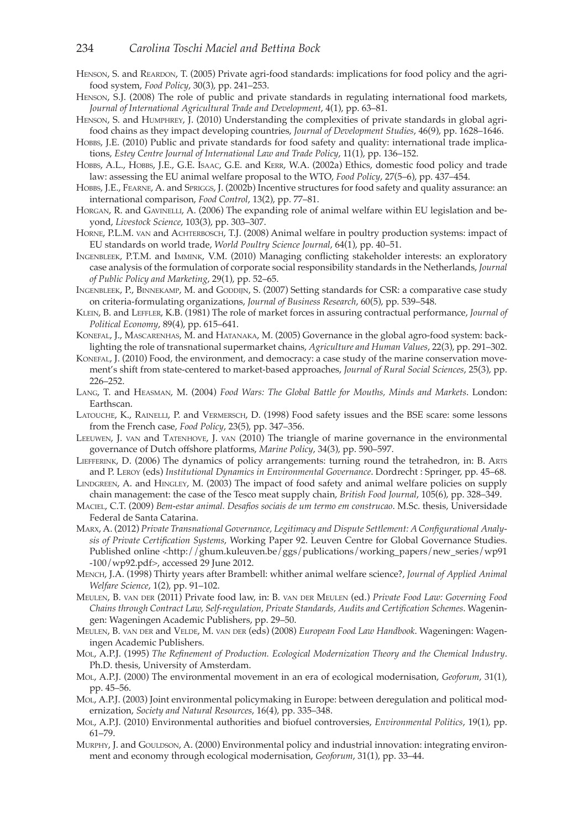- HENSON, S. and REARDON, T. (2005) Private agri-food standards: implications for food policy and the agrifood system, *Food Policy*, 30(3), pp. 241–253.
- Henson, S.J. (2008) The role of public and private standards in regulating international food markets, *Journal of International Agricultural Trade and Development*, 4(1), pp. 63–81.
- Henson, S. and Humphrey, J. (2010) Understanding the complexities of private standards in global agrifood chains as they impact developing countries, *Journal of Development Studies*, 46(9), pp. 1628–1646.
- Hobbs, J.E. (2010) Public and private standards for food safety and quality: international trade implications, *Estey Centre Journal of International Law and Trade Policy*, 11(1), pp. 136–152.
- Hobbs, A.L., Hobbs, J.E., G.E. Isaac, G.E. and Kerr, W.A. (2002a) Ethics, domestic food policy and trade law: assessing the EU animal welfare proposal to the WTO, *Food Policy*, 27(5–6), pp. 437–454.
- Hobbs, J.E., Fearne, A. and Spriggs, J. (2002b) Incentive structures for food safety and quality assurance: an international comparison, *Food Control*, 13(2), pp. 77–81.
- HORGAN, R. and GAVINELLI, A. (2006) The expanding role of animal welfare within EU legislation and beyond, *Livestock Science*, 103(3), pp. 303–307.
- HORNE, P.L.M. van and ACHTERBOSCH, T.J. (2008) Animal welfare in poultry production systems: impact of EU standards on world trade, *World Poultry Science Journal*, 64(1), pp. 40–51.
- Ingenbleek, P.T.M. and Immink, V.M. (2010) Managing conflicting stakeholder interests: an exploratory case analysis of the formulation of corporate social responsibility standards in the Netherlands, *Journal of Public Policy and Marketing*, 29(1), pp. 52–65.
- INGENBLEEK, P., BINNEKAMP, M. and GODDIJN, S. (2007) Setting standards for CSR: a comparative case study on criteria-formulating organizations, *Journal of Business Research*, 60(5), pp. 539–548.
- Klein, B. and Leffler, K.B. (1981) The role of market forces in assuring contractual performance, *Journal of Political Economy*, 89(4), pp. 615–641.
- Konefal, J., Mascarenhas, M. and Hatanaka, M. (2005) Governance in the global agro-food system: backlighting the role of transnational supermarket chains, *Agriculture and Human Values*, 22(3), pp. 291–302.
- Konefal, J. (2010) Food, the environment, and democracy: a case study of the marine conservation movement's shift from state-centered to market-based approaches, *Journal of Rural Social Sciences*, 25(3), pp. 226–252.
- Lang, T. and Heasman, M. (2004) *Food Wars: The Global Battle for Mouths, Minds and Markets*. London: Earthscan.
- Latouche, K., Rainelli, P. and Vermersch, D. (1998) Food safety issues and the BSE scare: some lessons from the French case, *Food Policy*, 23(5), pp. 347–356.
- Leeuwen, J. van and Tatenhove, J. van (2010) The triangle of marine governance in the environmental governance of Dutch offshore platforms, *Marine Policy*, 34(3), pp. 590–597.
- Liefferink, D. (2006) The dynamics of policy arrangements: turning round the tetrahedron, in: B. Arts and P. Leroy (eds) *Institutional Dynamics in Environmental Governance*. Dordrecht : Springer, pp. 45–68.
- LINDGREEN, A. and HINGLEY, M. (2003) The impact of food safety and animal welfare policies on supply chain management: the case of the Tesco meat supply chain, *British Food Journal*, 105(6), pp. 328–349.
- Maciel, C.T. (2009) *Bem-estar animal. Desafios sociais de um termo em construcao*. M.Sc. thesis, Universidade Federal de Santa Catarina.
- Marx, A. (2012) *Private Transnational Governance, Legitimacy and Dispute Settlement: A Configurational Analysis of Private Certification Systems*, Working Paper 92. Leuven Centre for Global Governance Studies. Published online <http://ghum.kuleuven.be/ggs/publications/working\_papers/new\_series/wp91 -100/wp92.pdf>, accessed 29 June 2012.
- Mench, J.A. (1998) Thirty years after Brambell: whither animal welfare science?, *Journal of Applied Animal Welfare Science*, 1(2), pp. 91–102.
- Meulen, B. van der (2011) Private food law, in: B. van der Meulen (ed.) *Private Food Law: Governing Food Chains through Contract Law, Self-regulation, Private Standards, Audits and Certification Schemes*. Wageningen: Wageningen Academic Publishers, pp. 29–50.
- MEULEN, B. VAN DER and VELDE, M. VAN DER (eds) (2008) *European Food Law Handbook*. Wageningen: Wageningen Academic Publishers.
- Mol, A.P.J. (1995) *The Refinement of Production. Ecological Modernization Theory and the Chemical Industry*. Ph.D. thesis, University of Amsterdam.
- Mol, A.P.J. (2000) The environmental movement in an era of ecological modernisation, *Geoforum*, 31(1), pp. 45–56.
- Mol, A.P.J. (2003) Joint environmental policymaking in Europe: between deregulation and political modernization, *Society and Natural Resources*, 16(4), pp. 335–348.
- Mol, A.P.J. (2010) Environmental authorities and biofuel controversies, *Environmental Politics*, 19(1), pp. 61–79.
- MURPHY, J. and GOULDSON, A. (2000) Environmental policy and industrial innovation: integrating environment and economy through ecological modernisation, *Geoforum*, 31(1), pp. 33–44.